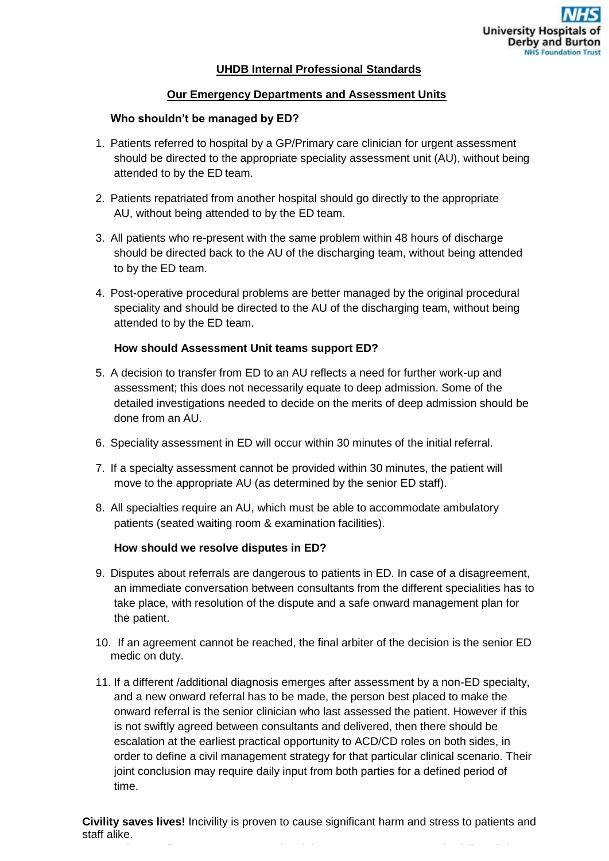## **UHDB Internal Professional Standards**

## **Our Emergency Departments and Assessment Units**

## **Who shouldn't be managed by ED?**

- 1. Patients referred to hospital by a GP/Primary care clinician for urgent assessment should be directed to the appropriate speciality assessment unit (AU), without being attended to by the ED team.
- 2. Patients repatriated from another hospital should go directly to the appropriate AU, without being attended to by the ED team.
- 3. All patients who re-present with the same problem within 48 hours of discharge should be directed back to the AU of the discharging team, without being attended to by the ED team.
- 4. Post-operative procedural problems are better managed by the original procedural speciality and should be directed to the AU of the discharging team, without being attended to by the ED team.

## **How should Assessment Unit teams support ED?**

- 5. A decision to transfer from ED to an AU reflects a need for further work-up and assessment; this does not necessarily equate to deep admission. Some of the detailed investigations needed to decide on the merits of deep admission should be done from an AU.
- 6. Speciality assessment in ED will occur within 30 minutes of the initial referral.
- 7. If a specialty assessment cannot be provided within 30 minutes, the patient will move to the appropriate AU (as determined by the senior ED staff).
- 8. All specialties require an AU, which must be able to accommodate ambulatory patients (seated waiting room & examination facilities).

#### **How should we resolve disputes in ED?**

- 9. Disputes about referrals are dangerous to patients in ED. In case of a disagreement, an immediate conversation between consultants from the different specialities has to take place, with resolution of the dispute and a safe onward management plan for the patient.
- 10. If an agreement cannot be reached, the final arbiter of the decision is the senior ED medic on duty.
- 11. If a different /additional diagnosis emerges after assessment by a non-ED specialty, and a new onward referral has to be made, the person best placed to make the onward referral is the senior clinician who last assessed the patient. However if this is not swiftly agreed between consultants and delivered, then there should be escalation at the earliest practical opportunity to ACD/CD roles on both sides, in order to define a civil management strategy for that particular clinical scenario. Their joint conclusion may require daily input from both parties for a defined period of time.

**Civility saves lives!** Incivility is proven to cause significant harm and stress to patients and staff alike.

You can have a disagreement over a referred, but we expect you to referred, but we expect you to remain civil<br>The second civil at all times.